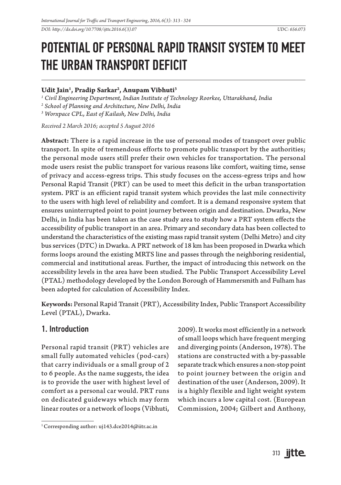*DOI: http://dx.doi.org/10.7708/ijtte.2016.6(3).07 UDC: 656.073* 

# POTENTIAL OF PERSONAL RAPID TRANSIT SYSTEM TO MEET THE URBAN TRANSPORT DEFICIT

### **Udit Jain1 , Pradip Sarkar2 , Anupam Vibhuti3**

*1 Civil Engineering Department, Indian Institute of Technology Roorkee, Uttarakhand, India*

*2 School of Planning and Architecture, New Delhi, India*

*3 Worxpace CPL, East of Kailash, New Delhi, India*

*Received 2 March 2016; accepted 5 August 2016*

**Abstract:** There is a rapid increase in the use of personal modes of transport over public transport. In spite of tremendous efforts to promote public transport by the authorities; the personal mode users still prefer their own vehicles for transportation. The personal mode users resist the public transport for various reasons like comfort, waiting time, sense of privacy and access-egress trips. This study focuses on the access-egress trips and how Personal Rapid Transit (PRT) can be used to meet this deficit in the urban transportation system. PRT is an efficient rapid transit system which provides the last mile connectivity to the users with high level of reliability and comfort. It is a demand responsive system that ensures uninterrupted point to point journey between origin and destination. Dwarka, New Delhi, in India has been taken as the case study area to study how a PRT system effects the accessibility of public transport in an area. Primary and secondary data has been collected to understand the characteristics of the existing mass rapid transit system (Delhi Metro) and city bus services (DTC) in Dwarka. A PRT network of 18 km has been proposed in Dwarka which forms loops around the existing MRTS line and passes through the neighboring residential, commercial and institutional areas. Further, the impact of introducing this network on the accessibility levels in the area have been studied. The Public Transport Accessibility Level (PTAL) methodology developed by the London Borough of Hammersmith and Fulham has been adopted for calculation of Accessibility Index.

**Keywords:** Personal Rapid Transit (PRT), Accessibility Index, Public Transport Accessibility Level (PTAL), Dwarka.

### 1. Introduction

Personal rapid transit (PRT) vehicles are small fully automated vehicles (pod-cars) that carry individuals or a small group of 2 to 6 people. As the name suggests, the idea is to provide the user with highest level of comfort as a personal car would. PRT runs on dedicated guideways which may form linear routes or a network of loops (Vibhuti,

1 Corresponding author: uj143.dce2014@iitr.ac.in

2009). It works most efficiently in a network of small loops which have frequent merging and diverging points (Anderson, 1978). The stations are constructed with a by-passable separate track which ensures a non-stop point to point journey between the origin and destination of the user (Anderson, 2009). It is a highly flexible and light weight system which incurs a low capital cost. (European Commission, 2004; Gilbert and Anthony,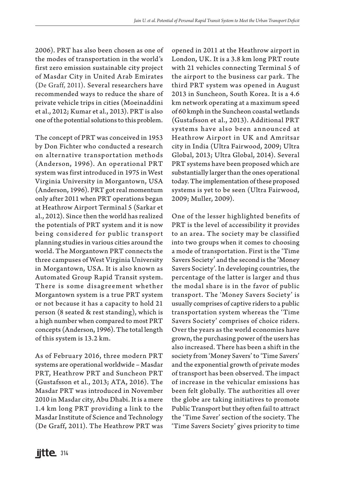2006). PRT has also been chosen as one of the modes of transportation in the world's first zero emission sustainable city project of Masdar City in United Arab Emirates (De Graff, 2011). Several researchers have recommended ways to reduce the share of private vehicle trips in cities (Moeinaddini et al., 2012; Kumar et al., 2013). PRT is also one of the potential solutions to this problem.

The concept of PRT was conceived in 1953 by Don Fichter who conducted a research on alternative transportation methods (Anderson, 1996). An operational PRT system was first introduced in 1975 in West Virginia University in Morgantown, USA (Anderson, 1996). PRT got real momentum only after 2011 when PRT operations began at Heathrow Airport Terminal 5 (Sarkar et al., 2012). Since then the world has realized the potentials of PRT system and it is now being considered for public transport planning studies in various cities around the world. The Morgantown PRT connects the three campuses of West Virginia University in Morgantown, USA. It is also known as Automated Group Rapid Transit system. There is some disagreement whether Morgantown system is a true PRT system or not because it has a capacity to hold 21 person (8 seated & rest standing), which is a high number when compared to most PRT concepts (Anderson, 1996). The total length of this system is 13.2 km.

As of February 2016, three modern PRT systems are operational worldwide – Masdar PRT, Heathrow PRT and Suncheon PRT (Gustafsson et al., 2013; ATA, 2016). The Masdar PRT was introduced in November 2010 in Masdar city, Abu Dhabi. It is a mere 1.4 km long PRT providing a link to the Masdar Institute of Science and Technology (De Graff, 2011). The Heathrow PRT was opened in 2011 at the Heathrow airport in London, UK. It is a 3.8 km long PRT route with 21 vehicles connecting Terminal 5 of the airport to the business car park. The third PRT system was opened in August 2013 in Suncheon, South Korea. It is a 4.6 km network operating at a maximum speed of 60 kmph in the Suncheon coastal wetlands (Gustafsson et al., 2013). Additional PRT systems have also been announced at Heathrow Airport in UK and Amritsar city in India (Ultra Fairwood, 2009; Ultra Global, 2013; Ultra Global, 2014). Several PRT systems have been proposed which are substantially larger than the ones operational today. The implementation of these proposed systems is yet to be seen (Ultra Fairwood, 2009; Muller, 2009).

One of the lesser highlighted benefits of PRT is the level of accessibility it provides to an area. The society may be classified into two groups when it comes to choosing a mode of transportation. First is the 'Time Savers Society' and the second is the 'Money Savers Society'. In developing countries, the percentage of the latter is larger and thus the modal share is in the favor of public transport. The 'Money Savers Society' is usually comprises of captive riders to a public transportation system whereas the 'Time Savers Society' comprises of choice riders. Over the years as the world economies have grown, the purchasing power of the users has also increased. There has been a shift in the society from 'Money Savers' to 'Time Savers' and the exponential growth of private modes of transport has been observed. The impact of increase in the vehicular emissions has been felt globally. The authorities all over the globe are taking initiatives to promote Public Transport but they often fail to attract the 'Time Saver' section of the society. The 'Time Savers Society' gives priority to time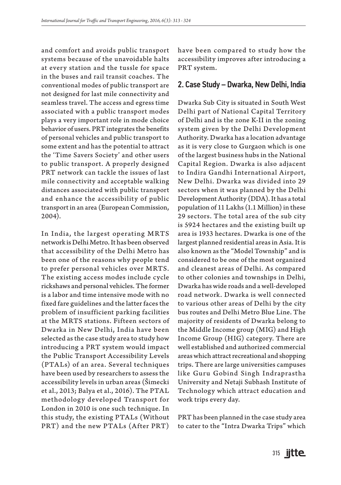and comfort and avoids public transport systems because of the unavoidable halts at every station and the tussle for space in the buses and rail transit coaches. The conventional modes of public transport are not designed for last mile connectivity and seamless travel. The access and egress time associated with a public transport modes plays a very important role in mode choice behavior of users. PRT integrates the benefits of personal vehicles and public transport to some extent and has the potential to attract the 'Time Savers Society' and other users to public transport. A properly designed PRT network can tackle the issues of last mile connectivity and acceptable walking distances associated with public transport and enhance the accessibility of public transport in an area (European Commission, 2004).

In India, the largest operating MRTS network is Delhi Metro. It has been observed that accessibility of the Delhi Metro has been one of the reasons why people tend to prefer personal vehicles over MRTS. The existing access modes include cycle rickshaws and personal vehicles. The former is a labor and time intensive mode with no fixed fare guidelines and the latter faces the problem of insufficient parking facilities at the MRTS stations. Fifteen sectors of Dwarka in New Delhi, India have been selected as the case study area to study how introducing a PRT system would impact the Public Transport Accessibility Levels (PTALs) of an area. Several techniques have been used by researchers to assess the accessibility levels in urban areas (Šimecki et al., 2013; Balya et al., 2016). The PTAL methodology developed Transport for London in 2010 is one such technique. In this study, the existing PTALs (Without PRT) and the new PTALs (After PRT)

have been compared to study how the accessibility improves after introducing a PRT system.

### 2. Case Study – Dwarka, New Delhi, India

Dwarka Sub City is situated in South West Delhi part of National Capital Territory of Delhi and is the zone K-II in the zoning system given by the Delhi Development Authority. Dwarka has a location advantage as it is very close to Gurgaon which is one of the largest business hubs in the National Capital Region. Dwarka is also adjacent to Indira Gandhi International Airport, New Delhi. Dwarka was divided into 29 sectors when it was planned by the Delhi Development Authority (DDA). It has a total population of 11 Lakhs (1.1 Million) in these 29 sectors. The total area of the sub city is 5924 hectares and the existing built up area is 1933 hectares. Dwarka is one of the largest planned residential areas in Asia. It is also known as the "Model Township" and is considered to be one of the most organized and cleanest areas of Delhi. As compared to other colonies and townships in Delhi, Dwarka has wide roads and a well-developed road network. Dwarka is well connected to various other areas of Delhi by the city bus routes and Delhi Metro Blue Line. The majority of residents of Dwarka belong to the Middle Income group (MIG) and High Income Group (HIG) category. There are well established and authorized commercial areas which attract recreational and shopping trips. There are large universities campuses like Guru Gobind Singh Indraprastha University and Netaji Subhash Institute of Technology which attract education and work trips every day.

PRT has been planned in the case study area to cater to the "Intra Dwarka Trips" which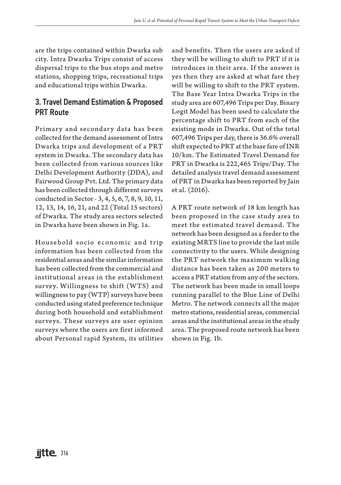are the trips contained within Dwarka sub city. Intra Dwarka Trips consist of access dispersal trips to the bus stops and metro stations, shopping trips, recreational trips and educational trips within Dwarka.

# 3. Travel Demand Estimation & Proposed PRT Route

Primary and secondary data has been collected for the demand assessment of Intra Dwarka trips and development of a PRT system in Dwarka. The secondary data has been collected from various sources like Delhi Development Authority (DDA), and Fairwood Group Pvt. Ltd. The primary data has been collected through different surveys conducted in Sector - 3, 4, 5, 6, 7, 8, 9, 10, 11, 12, 13, 14, 16, 21, and 22 (Total 15 sectors) of Dwarka. The study area sectors selected in Dwarka have been shown in Fig. 1a.

Household socio economic and trip information has been collected from the residential areas and the similar information has been collected from the commercial and institutional areas in the establishment survey. Willingness to shift (WTS) and willingness to pay (WTP) surveys have been conducted using stated preference technique during both household and establishment surveys. These surveys are user opinion surveys where the users are first informed about Personal rapid System, its utilities and benefits. Then the users are asked if they will be willing to shift to PRT if it is introduces in their area. If the answer is yes then they are asked at what fare they will be willing to shift to the PRT system. The Base Year Intra Dwarka Trips in the study area are 607,496 Trips per Day. Binary Logit Model has been used to calculate the percentage shift to PRT from each of the existing mode in Dwarka. Out of the total 607,496 Trips per day, there is 36.6% overall shift expected to PRT at the base fare of INR 10/km. The Estimated Travel Demand for PRT in Dwarka is 222,465 Trips/Day. The detailed analysis travel demand assessment of PRT in Dwarka has been reported by Jain et al. (2016).

A PRT route network of 18 km length has been proposed in the case study area to meet the estimated travel demand. The network has been designed as a feeder to the existing MRTS line to provide the last mile connectivity to the users. While designing the PRT network the maximum walking distance has been taken as 200 meters to access a PRT station from any of the sectors. The network has been made in small loops running parallel to the Blue Line of Delhi Metro. The network connects all the major metro stations, residential areas, commercial areas and the institutional areas in the study area. The proposed route network has been shown in Fig. 1b.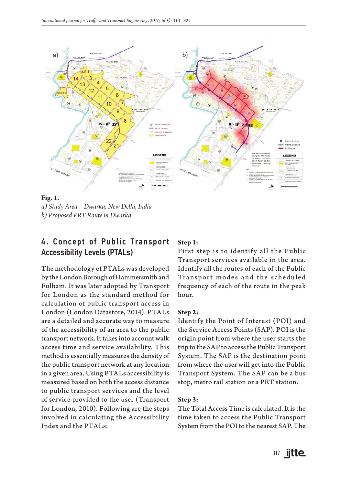

**Fig. 1.**  *a) Study Area – Dwarka, New Delhi, India b) Proposed PRT Route in Dwarka*

# 4. Concept of Public Transport Accessibility Levels (PTALs)

The methodology of PTALs was developed by the London Borough of Hammersmith and Fulham. It was later adopted by Transport for London as the standard method for calculation of public transport access in London (London Datastore, 2014). PTALs are a detailed and accurate way to measure of the accessibility of an area to the public transport network. It takes into account walk access time and service availability. This method is essentially measures the density of the public transport network at any location in a given area. Using PTALs accessibility is measured based on both the access distance to public transport services and the level of service provided to the user (Transport for London, 2010). Following are the steps involved in calculating the Accessibility Index and the PTALs:

#### **Step 1:**

First step is to identify all the Public Transport services available in the area. Identify all the routes of each of the Public Transport modes and the scheduled frequency of each of the route in the peak hour.

#### **Step 2:**

Identify the Point of Interest (POI) and the Service Access Points (SAP). POI is the origin point from where the user starts the trip to the SAP to access the Public Transport System. The SAP is the destination point from where the user will get into the Public Transport System. The SAP can be a bus stop, metro rail station or a PRT station.

#### **Step 3:**

The Total Access Time is calculated. It is the time taken to access the Public Transport System from the POI to the nearest SAP. The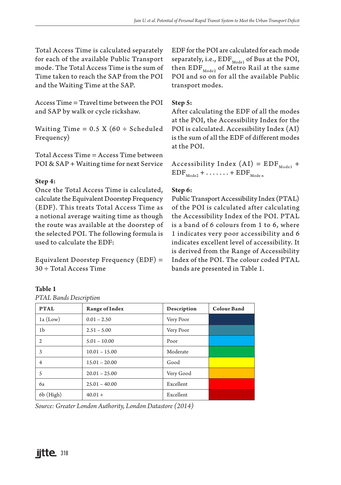Total Access Time is calculated separately for each of the available Public Transport mode. The Total Access Time is the sum of Time taken to reach the SAP from the POI and the Waiting Time at the SAP.

Access Time = Travel time between the POI and SAP by walk or cycle rickshaw.

Waiting Time =  $0.5$  X (60  $\div$  Scheduled Frequency)

Total Access Time = Access Time between POI & SAP + Waiting time for next Service

### **Step 4:**

Once the Total Access Time is calculated, calculate the Equivalent Doorstep Frequency (EDF). This treats Total Access Time as a notional average waiting time as though the route was available at the doorstep of the selected POI. The following formula is used to calculate the EDF:

Equivalent Doorstep Frequency (EDF) = 30 ÷ Total Access Time

### **Table 1**

*PTAL Bands Description*

EDF for the POI are calculated for each mode separately, i.e.,  $\text{EDF}_{\text{Model}}$  of Bus at the POI, then  $\text{EDF}_{\text{Mode2}}$  of Metro Rail at the same POI and so on for all the available Public transport modes.

#### **Step 5:**

After calculating the EDF of all the modes at the POI, the Accessibility Index for the POI is calculated. Accessibility Index (AI) is the sum of all the EDF of different modes at the POI.

Accessibility Index  $(AI) = EDF_{Model} +$  $EDF_{\text{Mode2}} + \ldots + EDF_{\text{Mode n}}$ 

### **Step 6:**

Public Transport Accessibility Index (PTAL) of the POI is calculated after calculating the Accessibility Index of the POI. PTAL is a band of 6 colours from 1 to 6, where 1 indicates very poor accessibility and 6 indicates excellent level of accessibility. It is derived from the Range of Accessibility Index of the POI. The colour coded PTAL bands are presented in Table 1.

| <b>PTAL</b> | <b>Range of Index</b> | Description | <b>Colour Band</b> |  |  |
|-------------|-----------------------|-------------|--------------------|--|--|
|             |                       |             |                    |  |  |
| $1a$ (Low)  | $0.01 - 2.50$         | Very Poor   |                    |  |  |
| 1b          | $2.51 - 5.00$         | Very Poor   |                    |  |  |
| 2           | $5.01 - 10.00$        | Poor        |                    |  |  |
| 3           | $10.01 - 15.00$       | Moderate    |                    |  |  |
| 4           | $15.01 - 20.00$       | Good        |                    |  |  |
| 5           | $20.01 - 25.00$       | Very Good   |                    |  |  |
| 6a          | $25.01 - 40.00$       | Excellent   |                    |  |  |
| 6b (High)   | $40.01 +$             | Excellent   |                    |  |  |

*Source: Greater London Authority, London Datastore (2014)*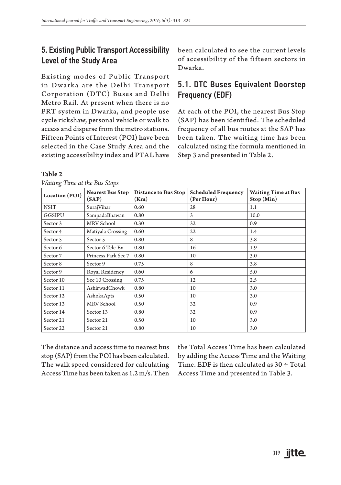# 5. Existing Public Transport Accessibility Level of the Study Area

Existing modes of Public Transport in Dwarka are the Delhi Transport Corporation (DTC) Buses and Delhi Metro Rail. At present when there is no PRT system in Dwarka, and people use cycle rickshaw, personal vehicle or walk to access and disperse from the metro stations. Fifteen Points of Interest (POI) have been selected in the Case Study Area and the existing accessibility index and PTAL have

#### **Table 2**

**Location (POI) Nearest Bus Stop (SAP) Distance to Bus Stop (Km) Scheduled Frequency (Per Hour) Waiting Time at Bus Stop (Min)** NSIT | SurajVihar | 0.60 | 28 | 1.1 GGSIPU SampadaBhawan 0.80 3 10.0 Sector 3 MRV School  $\begin{array}{|c|c|c|c|c|c|c|c|c|} \hline 0.30 & 32 & 32 \hline \end{array}$ Sector 4 Matiyala Crossing 0.60 22 1.4 Sector 5  $\left| \begin{array}{ccc} \text{Sector} & 5 \\ \text{Sector} & 5 \end{array} \right|$  8 3.8 Sector 6 Sector 6 Tele-Ex 0.80 16 1.9 Sector 7 | Princess Park Sec 7 | 0.80 | 10 | 3.0 Sector 8 Sector 9 0.75 8 3.8 Sector 9 | Royal Residency | 0.60 | 6 | 5.0 Sector 10  $\left| \begin{array}{ccc} \text{Sec 10 Crossing} & 0.75 \end{array} \right|$  12  $\left| \begin{array}{ccc} 12 & 2.5 \end{array} \right|$ Sector 11 AshirwadChowk 0.80 10 3.0 Sector 12 AshokaApts 0.50 10 3.0 Sector 13 MRV School  $\begin{array}{|c|c|c|c|c|c|c|c|} \hline 0.50 & 32 & 0.9 \\ \hline \end{array}$ Sector 14 Sector 13 0.80 32 0.9 Sector 21 | Sector 21 | 0.50 | 10 | 3.0 Sector 22 Sector 21 0.80 10 3.0

*Waiting Time at the Bus Stops*

The distance and access time to nearest bus stop (SAP) from the POI has been calculated. The walk speed considered for calculating Access Time has been taken as 1.2 m/s. Then

the Total Access Time has been calculated by adding the Access Time and the Waiting Time. EDF is then calculated as  $30 \div$  Total Access Time and presented in Table 3.

been calculated to see the current levels of accessibility of the fifteen sectors in Dwarka.

# 5.1. DTC Buses Equivalent Doorstep Frequency (EDF)

At each of the POI, the nearest Bus Stop (SAP) has been identified. The scheduled frequency of all bus routes at the SAP has been taken. The waiting time has been calculated using the formula mentioned in Step 3 and presented in Table 2.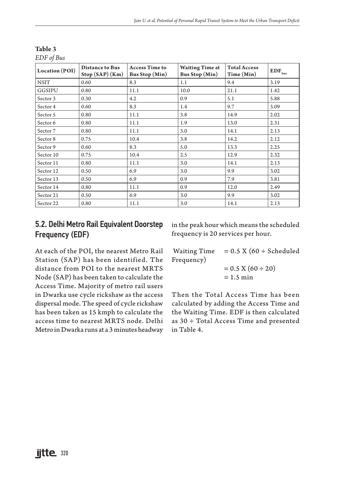| J<br>Location (POI) | <b>Distance to Bus</b><br>$Stop(SAP)$ (Km) | <b>Access Time to</b><br><b>Bus Stop</b> (Min) | <b>Waiting Time at</b><br><b>Bus Stop</b> (Min) | <b>Total Access</b><br>Time (Min) | $\mathbf{EDF}_{\mathsf{bus}}$ |
|---------------------|--------------------------------------------|------------------------------------------------|-------------------------------------------------|-----------------------------------|-------------------------------|
| <b>NSIT</b>         | 0.60                                       | 8.3                                            | 1.1                                             | 9.4                               | 3.19                          |
| GGSIPU              | 0.80                                       | 11.1                                           | 10.0                                            | 21.1                              | 1.42                          |
| Sector 3            | 0.30                                       | 4.2                                            | 0.9                                             | 5.1                               | 5.88                          |
| Sector 4            | 0.60                                       | 8.3                                            | 1.4                                             | 9.7                               | 3.09                          |
| Sector 5            | 0.80                                       | 11.1                                           | 3.8                                             | 14.9                              | 2.02                          |
| Sector 6            | 0.80                                       | 11.1                                           | 1.9                                             | 13.0                              | 2.31                          |
| Sector 7            | 0.80                                       | 11.1                                           | 3.0                                             | 14.1                              | 2.13                          |
| Sector 8            | 0.75                                       | 10.4                                           | 3.8                                             | 14.2                              | 2.12                          |
| Sector 9            | 0.60                                       | 8.3                                            | 5.0                                             | 13.3                              | 2.25                          |
| Sector 10           | 0.75                                       | 10.4                                           | 2.5                                             | 12.9                              | 2.32                          |
| Sector 11           | 0.80                                       | 11.1                                           | 3.0                                             | 14.1                              | 2.13                          |
| Sector 12           | 0.50                                       | 6.9                                            | 3.0                                             | 9.9                               | 3.02                          |
| Sector 13           | 0.50                                       | 6.9                                            | 0.9                                             | 7.9                               | 3.81                          |
| Sector 14           | 0.80                                       | 11.1                                           | 0.9                                             | 12.0                              | 2.49                          |
| Sector 21           | 0.50                                       | 6.9                                            | 3.0                                             | 9.9                               | 3.02                          |
| Sector 22           | 0.80                                       | 11.1                                           | 3.0                                             | 14.1                              | 2.13                          |

**Table 3**

*EDF of Bus*

# 5.2. Delhi Metro Rail Equivalent Doorstep Frequency (EDF)

in the peak hour which means the scheduled frequency is 20 services per hour.

At each of the POI, the nearest Metro Rail Station (SAP) has been identified. The distance from POI to the nearest MRTS Node (SAP) has been taken to calculate the Access Time. Majority of metro rail users in Dwarka use cycle rickshaw as the access dispersal mode. The speed of cycle rickshaw has been taken as 15 kmph to calculate the access time to nearest MRTS node. Delhi Metro in Dwarka runs at a 3 minutes headway

Waiting Time =  $0.5 \times (60 \div \text{Scheduled})$ Frequency)  $= 0.5 \text{ X } (60 \div 20)$ 

 $= 1.5$  min

Then the Total Access Time has been calculated by adding the Access Time and the Waiting Time. EDF is then calculated as 30 ÷ Total Access Time and presented in Table 4.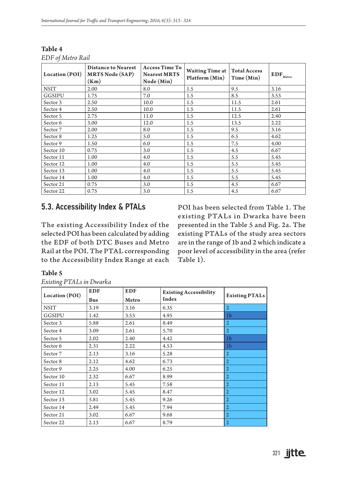| Location (POI) | <b>Distance to Nearest</b><br><b>MRTS Node (SAP)</b><br>(Km) | <b>Access Time To</b><br><b>Nearest MRTS</b><br>Node(Min) | <b>Waiting Time at</b><br>Platform (Min) | <b>Total Access</b><br>Time (Min) | $EDF_{\text{Metro}}$ |
|----------------|--------------------------------------------------------------|-----------------------------------------------------------|------------------------------------------|-----------------------------------|----------------------|
| <b>NSIT</b>    | 2.00                                                         | 8.0                                                       | 1.5                                      | 9.5                               | 3.16                 |
| GGSIPU         | 1.75                                                         | 7.0                                                       | 1.5                                      | 8.5                               | 3.53                 |
| Sector 3       | 2.50                                                         | 10.0                                                      | 1.5                                      | 11.5                              | 2.61                 |
| Sector 4       | 2.50                                                         | 10.0                                                      | 1.5                                      | 11.5                              | 2.61                 |
| Sector 5       | 2.75                                                         | 11.0                                                      | 1.5                                      | 12.5                              | 2.40                 |
| Sector 6       | 3.00                                                         | 12.0                                                      | 1.5                                      | 13.5                              | 2.22                 |
| Sector 7       | 2.00                                                         | 8.0                                                       | 1.5                                      | 9.5                               | 3.16                 |
| Sector 8       | 1.25                                                         | 5.0                                                       | 1.5                                      | 6.5                               | 4.62                 |
| Sector 9       | 1.50                                                         | 6.0                                                       | 1.5                                      | 7.5                               | 4.00                 |
| Sector 10      | 0.75                                                         | 3.0                                                       | 1.5                                      | 4.5                               | 6.67                 |
| Sector 11      | 1.00                                                         | 4.0                                                       | 1.5                                      | 5.5                               | 5.45                 |
| Sector 12      | 1.00                                                         | 4.0                                                       | 1.5                                      | 5.5                               | 5.45                 |
| Sector 13      | 1.00                                                         | 4.0                                                       | 1.5                                      | 5.5                               | 5.45                 |
| Sector 14      | 1.00                                                         | 4.0                                                       | 1.5                                      | 5.5                               | 5.45                 |
| Sector 21      | 0.75                                                         | 3.0                                                       | 1.5                                      | 4.5                               | 6.67                 |
| Sector 22      | 0.75                                                         | 3.0                                                       | 1.5                                      | 4.5                               | 6.67                 |

**Table 4** *EDF of Metro Rail*

### 5.3. Accessibility Index & PTALs

The existing Accessibility Index of the selected POI has been calculated by adding the EDF of both DTC Buses and Metro Rail at the POI. The PTAL corresponding to the Accessibility Index Range at each POI has been selected from Table 1. The existing PTALs in Dwarka have been presented in the Table 5 and Fig. 2a. The existing PTALs of the study area sectors are in the range of 1b and 2 which indicate a poor level of accessibility in the area (refer Table 1).

#### **Table 5**

| Location (POI) | <b>EDF</b><br>Bus | <b>EDF</b><br>Metro | <b>Existing Accessibility</b><br>Index | <b>Existing PTALs</b> |
|----------------|-------------------|---------------------|----------------------------------------|-----------------------|
| <b>NSIT</b>    | 3.19              | 3.16                | 6.35                                   | $\overline{2}$        |
| GGSIPU         | 1.42              | 3.53                | 4.95                                   | 1 <sub>b</sub>        |
| Sector 3       | 5.88              | 2.61                | 8.49                                   | $\overline{2}$        |
| Sector 4       | 3.09              | 2.61                | 5.70                                   | $\overline{2}$        |
| Sector 5       | 2.02              | 2.40                | 4.42                                   | 1 <sub>b</sub>        |
| Sector 6       | 2.31              | 2.22                | 4.53                                   | 1 <sub>b</sub>        |
| Sector 7       | 2.13              | 3.16                | 5.28                                   | $\overline{2}$        |
| Sector 8       | 2.12              | 4.62                | 6.73                                   | $\overline{2}$        |
| Sector 9       | 2.25              | 4.00                | 6.25                                   | $\overline{2}$        |
| Sector 10      | 2.32              | 6.67                | 8.99                                   | $\overline{2}$        |
| Sector 11      | 2.13              | 5.45                | 7.58                                   | $\overline{2}$        |
| Sector 12      | 3.02              | 5.45                | 8.47                                   | $\overline{2}$        |
| Sector 13      | 3.81              | 5.45                | 9.26                                   | $\overline{2}$        |
| Sector 14      | 2.49              | 5.45                | 7.94                                   | $\overline{2}$        |
| Sector 21      | 3.02              | 6.67                | 9.68                                   | $\overline{2}$        |
| Sector 22      | 2.13              | 6.67                | 8.79                                   | $\overline{2}$        |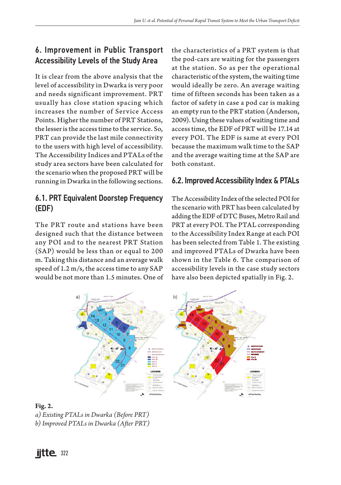# 6. Improvement in Public Transport Accessibility Levels of the Study Area

It is clear from the above analysis that the level of accessibility in Dwarka is very poor and needs significant improvement. PRT usually has close station spacing which increases the number of Service Access Points. Higher the number of PRT Stations, the lesser is the access time to the service. So, PRT can provide the last mile connectivity to the users with high level of accessibility. The Accessibility Indices and PTALs of the study area sectors have been calculated for the scenario when the proposed PRT will be running in Dwarka in the following sections.

# 6.1. PRT Equivalent Doorstep Frequency (EDF)

The PRT route and stations have been designed such that the distance between any POI and to the nearest PRT Station (SAP) would be less than or equal to 200 m. Taking this distance and an average walk speed of 1.2 m/s, the access time to any SAP would be not more than 1.5 minutes. One of the characteristics of a PRT system is that the pod-cars are waiting for the passengers at the station. So as per the operational characteristic of the system, the waiting time would ideally be zero. An average waiting time of fifteen seconds has been taken as a factor of safety in case a pod car is making an empty run to the PRT station (Anderson, 2009). Using these values of waiting time and access time, the EDF of PRT will be 17.14 at every POI. The EDF is same at every POI because the maximum walk time to the SAP and the average waiting time at the SAP are both constant.

# 6.2. Improved Accessibility Index & PTALs

The Accessibility Index of the selected POI for the scenario with PRT has been calculated by adding the EDF of DTC Buses, Metro Rail and PRT at every POI. The PTAL corresponding to the Accessibility Index Range at each POI has been selected from Table 1. The existing and improved PTALs of Dwarka have been shown in the Table 6. The comparison of accessibility levels in the case study sectors have also been depicted spatially in Fig. 2.



### **Fig. 2.**

- *a) Existing PTALs in Dwarka (Before PRT)*
- *b) Improved PTALs in Dwarka (After PRT)*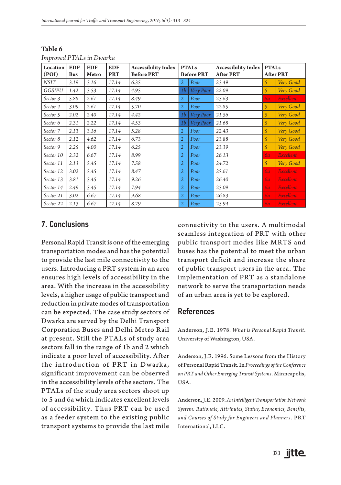| $IIIIPIVUU1$ $IIII3$ $IIIVVIINI$ |            |            |            |                            |                   |           |                            |                  |                  |
|----------------------------------|------------|------------|------------|----------------------------|-------------------|-----------|----------------------------|------------------|------------------|
| Location                         | <b>EDF</b> | <b>EDF</b> | <b>EDF</b> | <b>Accessibility Index</b> | <b>PTALs</b>      |           | <b>Accessibility Index</b> | <b>PTALs</b>     |                  |
| (POI)                            | <b>Bus</b> | Metro      | <b>PRT</b> | <b>Before PRT</b>          | <b>Before PRT</b> |           | <b>After PRT</b>           | <b>After PRT</b> |                  |
| <b>NSIT</b>                      | 3.19       | 3.16       | 17.14      | 6.35                       | $\overline{2}$    | Poor      | 23.49                      | 5                | Very Good        |
| GGSIPU                           | 1.42       | 3.53       | 17.14      | 4.95                       | 1b                | Very Poor | 22.09                      | 5                | Very Good        |
| Sector 3                         | 5.88       | 2.61       | 17.14      | 8.49                       | $\overline{2}$    | Poor      | 25.63                      | 6a               | Excellent        |
| Sector 4                         | 3.09       | 2.61       | 17.14      | 5.70                       | $\overline{2}$    | Poor      | 22.85                      | 5                | Very Good        |
| Sector 5                         | 2.02       | 2.40       | 17.14      | 4.42                       | 1 <sub>b</sub>    | Very Poor | 21.56                      | 5                | Very Good        |
| Sector 6                         | 2.31       | 2.22       | 17.14      | 4.53                       | 1 <sub>b</sub>    | Very Poor | 21.68                      | 5                | Very Good        |
| Sector 7                         | 2.13       | 3.16       | 17.14      | 5.28                       | $\overline{2}$    | Poor      | 22.43                      | 5                | Very Good        |
| Sector 8                         | 2.12       | 4.62       | 17.14      | 6.73                       | $\overline{2}$    | Poor      | 23.88                      | 5                | Very Good        |
| Sector 9                         | 2.25       | 4.00       | 17.14      | 6.25                       | $\overline{2}$    | Poor      | 23.39                      | 5                | Very Good        |
| Sector 10                        | 2.32       | 6.67       | 17.14      | 8.99                       | $\overline{2}$    | Poor      | 26.13                      | 6a               | <b>Excellent</b> |
| Sector 11                        | 2.13       | 5.45       | 17.14      | 7.58                       | $\overline{2}$    | Poor      | 24.72                      | 5                | Very Good        |
| Sector 12                        | 3.02       | 5.45       | 17.14      | 8.47                       | 2                 | Poor      | 25.61                      | 6a               | <b>Excellent</b> |
| Sector 13                        | 3.81       | 5.45       | 17.14      | 9.26                       | $\overline{2}$    | Poor      | 26.40                      | 6a               | Excellent        |
| Sector 14                        | 2.49       | 5.45       | 17.14      | 7.94                       | $\overline{2}$    | Poor      | 25.09                      | 6a               | Excellent        |
| Sector 21                        | 3.02       | 6.67       | 17.14      | 9.68                       | $\overline{2}$    | Poor      | 26.83                      | 6a               | Excellent        |
| Sector 22                        | 2.13       | 6.67       | 17.14      | 8.79                       | $\overline{2}$    | Poor      | 25.94                      | 6 <i>a</i>       | Excellent        |

**Table 6** *Improved PTALs in Dwarka*

## 7. Conclusions

Personal Rapid Transit is one of the emerging transportation modes and has the potential to provide the last mile connectivity to the users. Introducing a PRT system in an area ensures high levels of accessibility in the area. With the increase in the accessibility levels, a higher usage of public transport and reduction in private modes of transportation can be expected. The case study sectors of Dwarka are served by the Delhi Transport Corporation Buses and Delhi Metro Rail at present. Still the PTALs of study area sectors fall in the range of 1b and 2 which indicate a poor level of accessibility. After the introduction of PRT in Dwarka, significant improvement can be observed in the accessibility levels of the sectors. The PTALs of the study area sectors shoot up to 5 and 6a which indicates excellent levels of accessibility. Thus PRT can be used as a feeder system to the existing public transport systems to provide the last mile

connectivity to the users. A multimodal seamless integration of PRT with other public transport modes like MRTS and buses has the potential to meet the urban transport deficit and increase the share of public transport users in the area. The implementation of PRT as a standalone network to serve the transportation needs of an urban area is yet to be explored.

### References

Anderson, J.E. 1978. *What is Personal Rapid Transit*. University of Washington, USA.

Anderson, J.E. 1996. Some Lessons from the History of Personal Rapid Transit*.* In *Proceedings of the Conference on PRT and Other Emerging Transit Systems*. Minneapolis, USA.

Anderson, J.E. 2009. *An Intelligent Transportation Network System: Rationale, Attributes, Status, Economics, Benefits, and Courses of Study for Engineers and Planners*. PRT International, LLC.